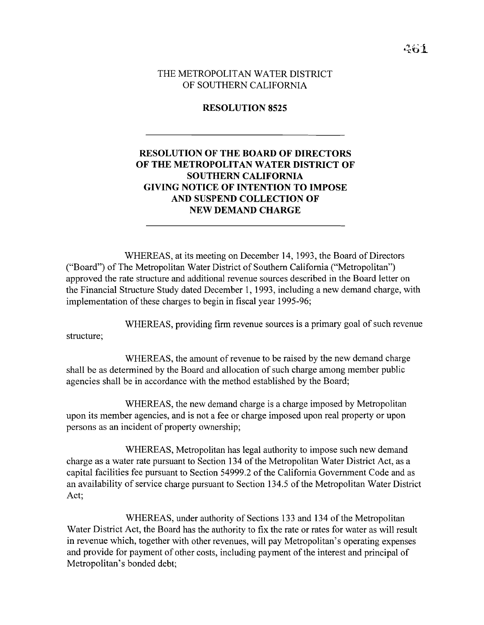THE METROPOLITAN WATER DISTRICT OF SOUTHERN CALIFORNIA

## **RESOLUTION 8525**

## **RESOLUTION OF THE BOARD OF DIRECTORS OF THE METROPOLITAN WATER DISTRICT OF SOUTHERN CALIFORNIA GIVING NOTICE OF INTENTION TO IMPOSE AND SUSPEND COLLECTION OF NEW DEMAND CHARGE**

WHEREAS, at its meeting on December 14, 1993, the Board of Directors ("Board") of The Metropolitan Water District of Southern California ("Metropolitan") approved the rate structure and additional revenue sources described in the Board letter on the Financial Structure Study dated December 1, 1993, including a new demand charge, with implementation of these charges to begin in fiscal year 1995-96;

WHEREAS, providing firm revenue sources is a primary goal of such revenue

structure;

WHEREAS, the amount of revenue to be raised by the new demand charge shall be as determined by the Board and allocation of such charge among member public agencies shall be in accordance with the method established by the Board;

WHEREAS, the new demand charge is a charge imposed by Metropolitan upon its member agencies, and is not a fee or charge imposed upon real property or upon persons as an incident of property ownership;

WHEREAS, Metropolitan has legal authority to impose such new demand charge as a water rate pursuant to Section 134 of the Metropolitan Water District Act, as a capital facilities fee pursuant to Section 54999.2 of the California Government Code and as an availability of service charge pursuant to Section 134.5 of the Metropolitan Water District Act;

WHEREAS, under authority of Sections 133 and 134 of the Metropolitan Water District Act, the Board has the authority to fix the rate or rates for water as will result in revenue which, together with other revenues, will pay Metropolitan's operating expenses and provide for payment of other costs, including payment of the interest and principal of Metropolitan's bonded debt;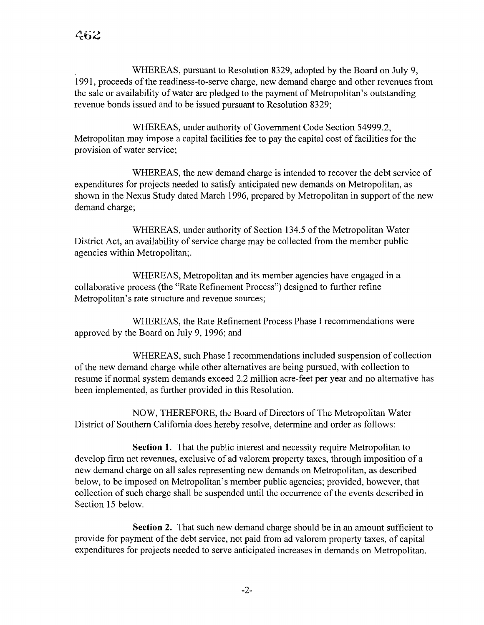WHEREAS, pursuant to Resolution 8329, adopted by the Board on July 9, 1991, proceeds of the readiness-to-serve charge, new demand charge and other revenues from the sale or availability of water are pledged to the payment of Metropolitan's outstanding revenue bonds issued and to be issued pursuant to Resolution 8329;

WHEREAS, under authority of Government Code Section 54999.2, Metropolitan may impose a capital facilities fee to pay the capital cost of facilities for the provision of water service;

WHEREAS, the new demand charge is intended to recover the debt service of expenditures for projects needed to satisfy anticipated new demands on Metropolitan, as shown in the Nexus Study dated March 1996, prepared by Metropolitan in support of the new demand charge;

WHEREAS, under authority of Section 134.5 of the Metropolitan Water District Act, an availability of service charge may be collected from the member public agencies within Metropolitan;.

WHEREAS, Metropolitan and its member agencies have engaged in a collaborative process (the "Rate Refinement Process") designed to further refine Metropolitan's rate structure and revenue sources;

WHEREAS, the Rate Refinement Process Phase I recommendations were approved by the Board on July 9, 1996; and

WHEREAS, such Phase I recommendations included suspension of collection ofthe new demand charge while other alternatives are being pursued, with collection to resume if normal system demands exceed 2.2 million acre-feet per year and no alternative has been implemented, as further provided in this Resolution.

NOW, THEREFORE, the Board of Directors of The Metropolitan Water District of Southern California does hereby resolve, determine and order as follows:

**Section 1.** That the public interest and necessity require Metropolitan to develop firm net revenues, exclusive of ad valorem property taxes, through imposition of a new demand charge on all sales representing new demands on Metropolitan, as described below, to be imposed on Metropolitan's member public agencies; provided, however, that collection of such charge shall be suspended until the occurrence of the events described in Section 15 below.

**Section** 2. That such new demand charge should be in an amount sufficient to provide for payment of the debt service, not paid from ad valorem property taxes, of capital expenditures for projects needed to serve anticipated increases in demands on Metropolitan.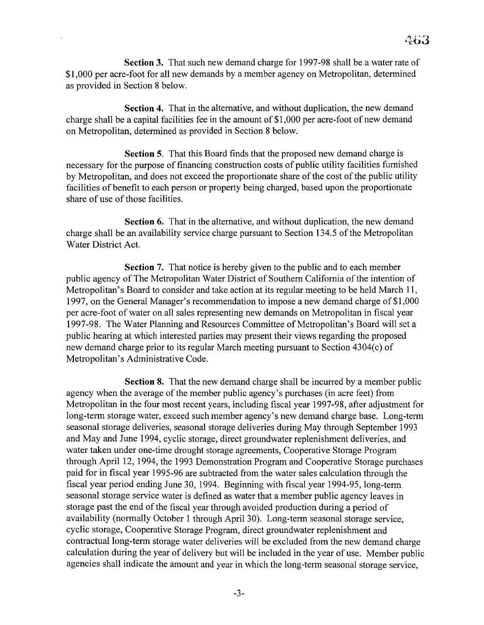Section 3. That such new demand charge for 1997-98 shall be a water rate of \$1,000 per acre-foot for all new demands by a member agency on Metropolitan, determined as provided in Section 8 below.

Section 4. That in the alternative, and without duplication, the new demand charge shall be a capital facilities fee in the amount of \$1,000 per acre-foot of new demand on Metropolitan, determined as provided in Section 8 below.

Section 5. That this Board finds that the proposed new demand charge is necessary for the purpose of financing construction costs of public utility facilities furnished by Metropolitan, and does not exceed the proportionate share of the cost of the public utility facilities of benefit to each person or property being charged, based upon the proportionate share of use of those facilities.

Section 6. That in the alternative, and without duplication, the new demand charge shall be an availability service charge pursuant to Section 134.5 of the Metropolitan Water District Act.

Section 7. That notice is hereby given to the public and to each member public agency of The Metropolitan Water District of Southern California of the intention of Metropolitan's Board to consider and take action at its regular meeting to be held March 11, 1997, on the General Manager's recommendation to impose a new demand charge of \$1 ,000 per acre-foot of water on all sales representing new demands on Metropolitan in fiscal year 1997-98. The Water Planning and Resources Committee of Metropolitan's Board will set a public hearing at which interested parties may present their views regarding the proposed new demand charge prior to its regular March meeting pursuant to Section 4304(c) of Metropolitan's Administrative Code.

Section 8. That the new demand charge shall be incurred by a member public agency when the average of the member public agency's purchases (in acre feet) from Metropolitan in the four most recent years, including fiscal year 1997-98, after adjustment for long-term storage water, exceed such member agency's new demand charge base. Long-term seasonal storage deliveries, seasonal storage deliveries during May through September 1993 and May and June 1994, cyclic storage, direct groundwater replenishment deliveries, and water taken under one-time drought storage agreements, Cooperative Storage Program through April 12, 1994, the 1993 Demonstration Program and Cooperative Storage purchases paid for in fiscal year 1995-96 are subtracted from the water sales calculation through the fiscal year period ending June 30, 1994. Beginning with fiscal year 1994-95, long-term seasonal storage service water is defined as water that a member public agency leaves in storage past the end of the fiscal year through avoided production during a period of availability (normally October 1 through April 30). Long-term seasonal storage service, cyclic storage, Cooperative Storage Program, direct groundwater replenishment and contractual long-term storage water deliveries will be excluded from the new demand charge calculation during the year of delivery but will be included in the year of use. Member public agencies shall indicate the amount and year in which the long-term seasonal storage service,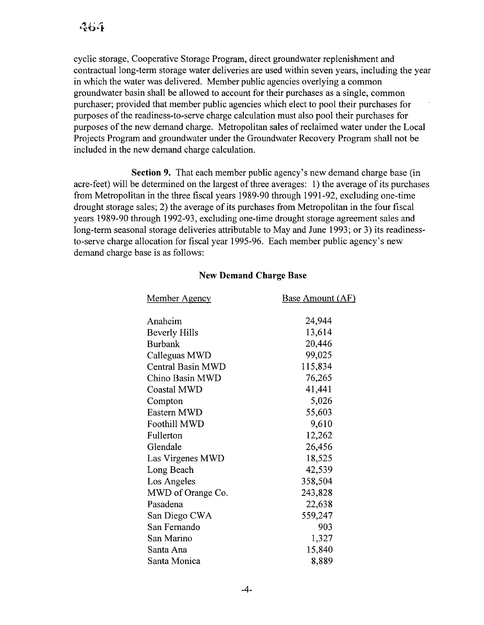cyclic storage, Cooperative Storage Program, direct groundwater replenishment and contractual long-term storage water deliveries are used within seven years, including the year in which the water was delivered. Member public agencies overlying a common groundwater basin shall be allowed to account for their purchases as a single, common purchaser; provided that member public agencies which elect to pool their purchases for purposes of the readiness-to-serve charge calculation must also pool their purchases for purposes of the new demand charge. Metropolitan sales of reclaimed water under the Local Projects Program and groundwater under the Groundwater Recovery Program shall not be included in the new demand charge calculation.

Section 9. That each member public agency's new demand charge base (in acre-feet) will be determined on the largest of three averages: 1) the average of its purchases from Metropolitan in the three fiscal years 1989-90 through 1991-92, excluding one-time drought storage sales; 2) the average of its purchases from Metropolitan in the four fiscal years 1989-90 through 1992-93, excluding one-time drought storage agreement sales and long-term seasonal storage deliveries attributable to May and June 1993; or 3) its readinessto-serve charge allocation for fiscal year 1995-96. Each member public agency's new demand charge base is as follows:

## New Demand Charge Base

| <u>Member Agency</u>     | <b>Base Amount (AF)</b> |
|--------------------------|-------------------------|
|                          |                         |
| Anaheim                  | 24,944                  |
| Beverly Hills            | 13,614                  |
| <b>Burbank</b>           | 20,446                  |
| Calleguas MWD            | 99,025                  |
| <b>Central Basin MWD</b> | 115,834                 |
| Chino Basin MWD          | 76,265                  |
| <b>Coastal MWD</b>       | 41,441                  |
| Compton                  | 5,026                   |
| Eastern MWD              | 55,603                  |
| <b>Foothill MWD</b>      | 9,610                   |
| Fullerton                | 12,262                  |
| Glendale                 | 26,456                  |
| Las Virgenes MWD         | 18,525                  |
| Long Beach               | 42,539                  |
| Los Angeles              | 358,504                 |
| MWD of Orange Co.        | 243,828                 |
| Pasadena                 | 22,638                  |
| San Diego CWA            | 559,247                 |
| San Fernando             | 903                     |
| San Marino               | 1,327                   |
| Santa Ana                | 15,840                  |
| Santa Monica             | 8,889                   |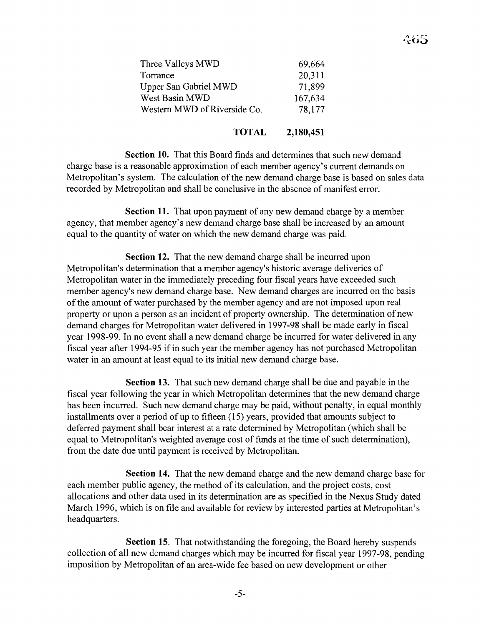| Three Valleys MWD            | 69,664  |
|------------------------------|---------|
| Torrance                     | 20,311  |
| Upper San Gabriel MWD        | 71,899  |
| West Basin MWD               | 167,634 |
| Western MWD of Riverside Co. | 78,177  |
|                              |         |

## **TOTAL 2,180,451**

**Section 10.** That this Board finds and determines that such new demand charge base is a reasonable approximation of each member agency's current demands on Metropolitan's system. The calculation of the new demand charge base is based on sales data recorded by Metropolitan and shall be conclusive in the absence of manifest error.

**Section 11.** That upon payment of any new demand charge by a member agency, that member agency's new demand charge base shall be increased by an amount equal to the quantity of water on which the new demand charge was paid.

**Section 12.** That the new demand charge shall be incurred upon Metropolitan's determination that a member agency's historic average deliveries of Metropolitan water in the immediately preceding four fiscal years have exceeded such member agency's new demand charge base. New demand charges are incurred on the basis of the amount of water purchased by the member agency and are not imposed upon real property or upon a person as an incident of property ownership. The determination of new demand charges for Metropolitan water delivered in 1997-98 shall be made early in fiscal year 1998-99. In no event shall a new demand charge be incurred for water delivered in any fiscal year after 1994-95 if in such year the member agency has not purchased Metropolitan water in an amount at least equal to its initial new demand charge base.

**Section 13.** That such new demand charge shall be due and payable in the fiscal year following the year in which Metropolitan determines that the new demand charge has been incurred. Such new demand charge may be paid, without penalty, in equal monthly installments over a period of up to fifteen (15) years, provided that amounts subject to deferred payment shall bear interest at a rate determined by Metropolitan (which shall be equal to Metropolitan's weighted average cost of funds at the time of such determination), from the date due until payment is received by Metropolitan.

**Section 14.** That the new demand charge and the new demand charge base for each member public agency, the method of its calculation, and the project costs, cost allocations and other data used in its determination are as specified in the Nexus Study dated March 1996, which is on file and available for review by interested parties at Metropolitan's headquarters.

**Section 15.** That notwithstanding the foregoing, the Board hereby suspends collection of all new demand charges which may be incurred for fiscal year 1997-98, pending imposition by Metropolitan of an area-wide fee based on new development or other